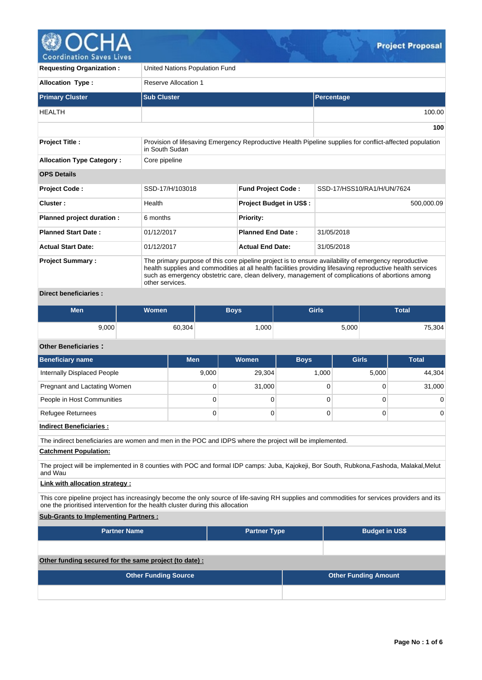

| <b>Requesting Organization:</b>  | United Nations Population Fund                                                                                                                                                                                                                                                                                                             |                                |                                                                                                          |  |  |  |  |  |  |  |
|----------------------------------|--------------------------------------------------------------------------------------------------------------------------------------------------------------------------------------------------------------------------------------------------------------------------------------------------------------------------------------------|--------------------------------|----------------------------------------------------------------------------------------------------------|--|--|--|--|--|--|--|
| <b>Allocation Type:</b>          | <b>Reserve Allocation 1</b>                                                                                                                                                                                                                                                                                                                |                                |                                                                                                          |  |  |  |  |  |  |  |
| <b>Primary Cluster</b>           | <b>Sub Cluster</b>                                                                                                                                                                                                                                                                                                                         | Percentage                     |                                                                                                          |  |  |  |  |  |  |  |
| <b>HEALTH</b>                    |                                                                                                                                                                                                                                                                                                                                            |                                | 100.00                                                                                                   |  |  |  |  |  |  |  |
|                                  |                                                                                                                                                                                                                                                                                                                                            |                                | 100                                                                                                      |  |  |  |  |  |  |  |
| <b>Project Title:</b>            | in South Sudan                                                                                                                                                                                                                                                                                                                             |                                | Provision of lifesaving Emergency Reproductive Health Pipeline supplies for conflict-affected population |  |  |  |  |  |  |  |
| <b>Allocation Type Category:</b> | Core pipeline                                                                                                                                                                                                                                                                                                                              |                                |                                                                                                          |  |  |  |  |  |  |  |
| <b>OPS Details</b>               |                                                                                                                                                                                                                                                                                                                                            |                                |                                                                                                          |  |  |  |  |  |  |  |
| <b>Project Code:</b>             | SSD-17/H/103018                                                                                                                                                                                                                                                                                                                            | <b>Fund Project Code:</b>      | SSD-17/HSS10/RA1/H/UN/7624                                                                               |  |  |  |  |  |  |  |
| Cluster:                         | Health                                                                                                                                                                                                                                                                                                                                     | <b>Project Budget in US\$:</b> | 500,000.09                                                                                               |  |  |  |  |  |  |  |
| Planned project duration :       | 6 months                                                                                                                                                                                                                                                                                                                                   | <b>Priority:</b>               |                                                                                                          |  |  |  |  |  |  |  |
| <b>Planned Start Date:</b>       | 01/12/2017                                                                                                                                                                                                                                                                                                                                 | <b>Planned End Date:</b>       | 31/05/2018                                                                                               |  |  |  |  |  |  |  |
| <b>Actual Start Date:</b>        | <b>Actual End Date:</b><br>01/12/2017<br>31/05/2018                                                                                                                                                                                                                                                                                        |                                |                                                                                                          |  |  |  |  |  |  |  |
| <b>Project Summary:</b>          | The primary purpose of this core pipeline project is to ensure availability of emergency reproductive<br>health supplies and commodities at all health facilities providing lifesaving reproductive health services<br>such as emergency obstetric care, clean delivery, management of complications of abortions among<br>other services. |                                |                                                                                                          |  |  |  |  |  |  |  |

# **Direct beneficiaries :**

| <b>Men</b> | <b>Women</b> | Boys' | <b>Girls</b> | <b>Total</b> |
|------------|--------------|-------|--------------|--------------|
| 9,000      | 60,304       | .000  | 5,000        | 75,304       |

# **Other Beneficiaries :**

| <b>Beneficiary name</b>                                                                                                                                                                                                        | <b>Men</b>                                                 | <b>Women</b>        | <b>Boys</b> | <b>Girls</b>          | <b>Total</b> |  |  |  |
|--------------------------------------------------------------------------------------------------------------------------------------------------------------------------------------------------------------------------------|------------------------------------------------------------|---------------------|-------------|-----------------------|--------------|--|--|--|
| Internally Displaced People                                                                                                                                                                                                    | 9,000                                                      | 29,304<br>1,000     |             | 5,000                 | 44,304       |  |  |  |
| Pregnant and Lactating Women                                                                                                                                                                                                   | 0                                                          | 31,000              | 0           | $\Omega$              | 31,000       |  |  |  |
| People in Host Communities                                                                                                                                                                                                     | $\Omega$                                                   | 0                   | $\Omega$    | $\Omega$              | $\Omega$     |  |  |  |
| <b>Refugee Returnees</b>                                                                                                                                                                                                       | $\mathbf 0$                                                | 0                   | 0           | $\Omega$              | 0            |  |  |  |
| <b>Indirect Beneficiaries:</b>                                                                                                                                                                                                 |                                                            |                     |             |                       |              |  |  |  |
| The indirect beneficiaries are women and men in the POC and IDPS where the project will be implemented.                                                                                                                        |                                                            |                     |             |                       |              |  |  |  |
| <b>Catchment Population:</b>                                                                                                                                                                                                   |                                                            |                     |             |                       |              |  |  |  |
| The project will be implemented in 8 counties with POC and formal IDP camps: Juba, Kajokeji, Bor South, Rubkona,Fashoda, Malakal,Melut<br>and Wau                                                                              |                                                            |                     |             |                       |              |  |  |  |
| Link with allocation strategy :                                                                                                                                                                                                |                                                            |                     |             |                       |              |  |  |  |
| This core pipeline project has increasingly become the only source of life-saving RH supplies and commodities for services providers and its<br>one the prioritised intervention for the health cluster during this allocation |                                                            |                     |             |                       |              |  |  |  |
| <b>Sub-Grants to Implementing Partners:</b>                                                                                                                                                                                    |                                                            |                     |             |                       |              |  |  |  |
| <b>Partner Name</b>                                                                                                                                                                                                            |                                                            | <b>Partner Type</b> |             | <b>Budget in US\$</b> |              |  |  |  |
|                                                                                                                                                                                                                                |                                                            |                     |             |                       |              |  |  |  |
| Other funding secured for the same project (to date) :                                                                                                                                                                         |                                                            |                     |             |                       |              |  |  |  |
|                                                                                                                                                                                                                                | <b>Other Funding Source</b><br><b>Other Funding Amount</b> |                     |             |                       |              |  |  |  |
|                                                                                                                                                                                                                                |                                                            |                     |             |                       |              |  |  |  |
|                                                                                                                                                                                                                                |                                                            |                     |             |                       |              |  |  |  |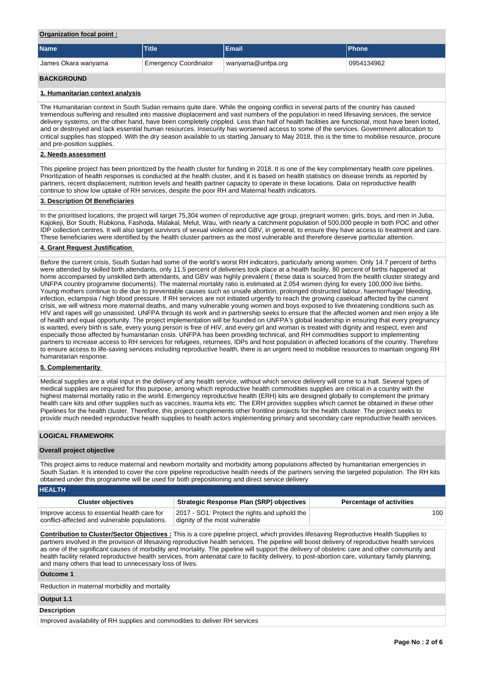### **Organization focal point :**

| <b>Name</b>         | <b>Title</b>                 | l Email           | <b>Phone</b> |
|---------------------|------------------------------|-------------------|--------------|
| James Okara wanyama | <b>Emergency Coordinator</b> | wanyama@unfpa.org | 0954134962   |
| <b>BACKGROUND</b>   |                              |                   |              |

### **1. Humanitarian context analysis**

The Humanitarian context in South Sudan remains quite dare. While the ongoing conflict in several parts of the country has caused tremendous suffering and resulted into massive displacement and vast numbers of the population in need lifesaving services, the service delivery systems, on the other hand, have been completely crippled. Less than half of health facilities are functional, most have been looted, and or destroyed and lack essential human resources. Insecurity has worsened access to some of the services. Government allocation to critical supplies has stopped. With the dry season available to us starting January to May 2018, this is the time to mobilise resource, procure and pre-position supplies.

### **2. Needs assessment**

This pipeline project has been prioritized by the health cluster for funding in 2018. It is one of the key complimentary health core pipelines. Prioritization of health responses is conducted at the health cluster, and it is based on health statistics on disease trends as reported by partners, recent displacement, nutrition levels and health partner capacity to operate in these locations. Data on reproductive health continue to show low uptake of RH services, despite the poor RH and Maternal health indicators.

### **3. Description Of Beneficiaries**

In the prioritised locations, the project will target 75,304 women of reproductive age group, pregnant women, girls, boys, and men in Juba, Kajokeji, Bor South, Rubkona, Fashoda, Malakal, Melut, Wau, with nearly a catchment population of 500,000 people in both POC and other IDP collection centres. It will also target survivors of sexual violence and GBV, in general, to ensure they have access to treatment and care. These beneficiaries were identified by the health cluster partners as the most vulnerable and therefore deserve particular attention.

### **4. Grant Request Justification**

Before the current crisis, South Sudan had some of the world's worst RH indicators, particularly among women. Only 14.7 percent of births were attended by skilled birth attendants, only 11.5 percent of deliveries took place at a health facility, 80 percent of births happened at home accompanied by unskilled birth attendants, and GBV was highly prevalent ( these data is sourced from the health cluster strategy and UNFPA country programme documents). The maternal mortality ratio is estimated at 2,054 women dying for every 100,000 live births. Young mothers continue to die due to preventable causes such as unsafe abortion, prolonged obstructed labour, haemorrhage/ bleeding, infection, eclampsia / high blood pressure. If RH services are not initiated urgently to reach the growing caseload affected by the current crisis, we will witness more maternal deaths, and many vulnerable young women and boys exposed to live threatening conditions such as HIV and rapes will go unassisted. UNFPA through its work and in partnership seeks to ensure that the affected women and men enjoy a life of health and equal opportunity. The project implementation will be founded on UNFPA's global leadership in ensuring that every pregnancy is wanted, every birth is safe, every young person is free of HIV, and every girl and woman is treated with dignity and respect, even and especially those affected by humanitarian crisis. UNFPA has been providing technical, and RH commodities support to implementing partners to increase access to RH services for refugees, returnees, IDPs and host population in affected locations of the country. Therefore to ensure access to life-saving services including reproductive health, there is an urgent need to mobilise resources to maintain ongoing RH humanitarian response.

### **5. Complementarity**

Medical supplies are a vital input in the delivery of any health service, without which service delivery will come to a halt. Several types of medical supplies are required for this purpose, among which reproductive health commodities supplies are critical in a country with the highest maternal mortality ratio in the world. Emergency reproductive health (ERH) kits are designed globally to complement the primary health care kits and other supplies such as vaccines, trauma kits etc. The ERH provides supplies which cannot be obtained in these other Pipelines for the health cluster. Therefore, this project complements other frontline projects for the health cluster. The project seeks to provide much needed reproductive health supplies to health actors implementing primary and secondary care reproductive health services.

#### **LOGICAL FRAMEWORK**

#### **Overall project objective**

This project aims to reduce maternal and newborn mortality and morbidity among populations affected by humanitarian emergencies in South Sudan. It is intended to cover the core pipeline reproductive health needs of the partners serving the targeted population. The RH kits obtained under this programme will be used for both prepositioning and direct service delivery

| <b>HEALTH</b>                                                                                |                                                                                 |                                 |
|----------------------------------------------------------------------------------------------|---------------------------------------------------------------------------------|---------------------------------|
| <b>Cluster objectives</b>                                                                    | Strategic Response Plan (SRP) objectives                                        | <b>Percentage of activities</b> |
| Improve access to essential health care for<br>conflict-affected and vulnerable populations. | 2017 - SO1: Protect the rights and uphold the<br>dignity of the most vulnerable | 100                             |

**Contribution to Cluster/Sector Objectives :** This is a core pipeline project, which provides lifesaving Reproductive Health Supplies to partners involved in the provision of lifesaving reproductive health services. The pipeline will boost delivery of reproductive health services as one of the significant causes of morbidity and mortality. The pipeline will support the delivery of obstetric care and other community and health facility related reproductive health services, from antenatal care to facility delivery, to post-abortion care, voluntary family planning, and many others that lead to unnecessary loss of lives.

#### **Outcome 1**

Reduction in maternal morbidity and mortality

### **Output 1.1**

# **Description**

Improved availability of RH supplies and commodities to deliver RH services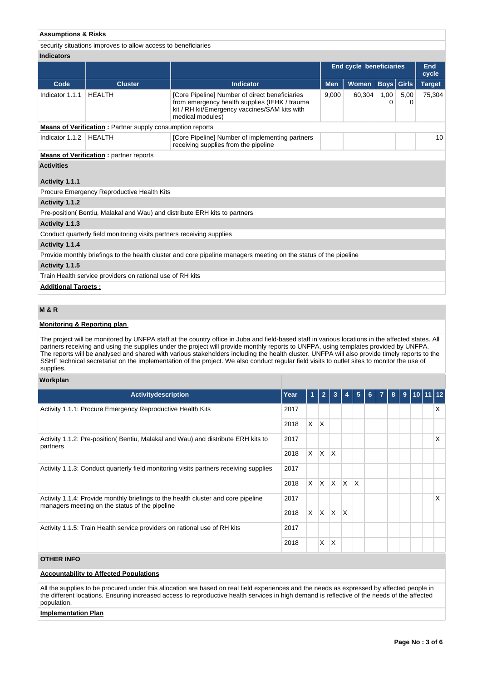### **Assumptions & Risks**

security situations improves to allow access to beneficiaries

|                   | $3000$ and $1000$ and $10000$ and $10000$ and $10000$ and $10000$ and $10000$ |                                                                                                                                                                      |                                                                                          |                     |  |  |    |  |  |
|-------------------|-------------------------------------------------------------------------------|----------------------------------------------------------------------------------------------------------------------------------------------------------------------|------------------------------------------------------------------------------------------|---------------------|--|--|----|--|--|
| <b>Indicators</b> |                                                                               |                                                                                                                                                                      |                                                                                          |                     |  |  |    |  |  |
|                   |                                                                               |                                                                                                                                                                      | <b>End cycle beneficiaries</b>                                                           | <b>End</b><br>cycle |  |  |    |  |  |
| Code              | <b>Cluster</b>                                                                | <b>Indicator</b>                                                                                                                                                     | <b>Men</b>                                                                               | <b>Target</b>       |  |  |    |  |  |
| Indicator 1.1.1   | <b>HEALTH</b>                                                                 | [Core Pipeline] Number of direct beneficiaries<br>from emergency health supplies (IEHK / trauma<br>kit / RH kit/Emergency vaccines/SAM kits with<br>medical modules) | <b>Boys</b> Girls<br><b>Women</b><br>75,304<br>9.000<br>60.304<br>1,00<br>5,00<br>0<br>0 |                     |  |  |    |  |  |
|                   | <b>Means of Verification:</b> Partner supply consumption reports              |                                                                                                                                                                      |                                                                                          |                     |  |  |    |  |  |
| Indicator 1.1.2   | <b>HEALTH</b>                                                                 | [Core Pipeline] Number of implementing partners<br>receiving supplies from the pipeline                                                                              |                                                                                          |                     |  |  | 10 |  |  |
|                   | <b>Means of Verification:</b> partner reports                                 |                                                                                                                                                                      |                                                                                          |                     |  |  |    |  |  |
| <b>Activities</b> |                                                                               |                                                                                                                                                                      |                                                                                          |                     |  |  |    |  |  |
| Activity 1.1.1    |                                                                               |                                                                                                                                                                      |                                                                                          |                     |  |  |    |  |  |
|                   | Procure Emergency Reproductive Health Kits                                    |                                                                                                                                                                      |                                                                                          |                     |  |  |    |  |  |
| Activity 1.1.2    |                                                                               |                                                                                                                                                                      |                                                                                          |                     |  |  |    |  |  |
|                   | Pre-position (Bentiu, Malakal and Wau) and distribute ERH kits to partners    |                                                                                                                                                                      |                                                                                          |                     |  |  |    |  |  |
| Activity 1.1.3    |                                                                               |                                                                                                                                                                      |                                                                                          |                     |  |  |    |  |  |
|                   | Conduct quarterly field monitoring visits partners receiving supplies         |                                                                                                                                                                      |                                                                                          |                     |  |  |    |  |  |
| Activity 1.1.4    |                                                                               |                                                                                                                                                                      |                                                                                          |                     |  |  |    |  |  |
|                   |                                                                               | Provide monthly briefings to the health cluster and core pipeline managers meeting on the status of the pipeline                                                     |                                                                                          |                     |  |  |    |  |  |
| Activity 1.1.5    |                                                                               |                                                                                                                                                                      |                                                                                          |                     |  |  |    |  |  |
|                   | Train Health service providers on rational use of RH kits                     |                                                                                                                                                                      |                                                                                          |                     |  |  |    |  |  |

**Additional Targets :**

# **M & R**

## **Monitoring & Reporting plan**

The project will be monitored by UNFPA staff at the country office in Juba and field-based staff in various locations in the affected states. All partners receiving and using the supplies under the project will provide monthly reports to UNFPA, using templates provided by UNFPA. The reports will be analysed and shared with various stakeholders including the health cluster. UNFPA will also provide timely reports to the SSHF technical secretariat on the implementation of the project. We also conduct regular field visits to outlet sites to monitor the use of supplies.

### **Workplan**

| <b>Activitydescription</b>                                                                                                          | Year |    | $\overline{2}$ | 3            | 4            | 5 | 6 <sup>1</sup> | $\overline{7}$ | 8 | 9 | 10 11 12 |   |
|-------------------------------------------------------------------------------------------------------------------------------------|------|----|----------------|--------------|--------------|---|----------------|----------------|---|---|----------|---|
| Activity 1.1.1: Procure Emergency Reproductive Health Kits                                                                          | 2017 |    |                |              |              |   |                |                |   |   |          | X |
|                                                                                                                                     | 2018 | X. | ΙX.            |              |              |   |                |                |   |   |          |   |
| Activity 1.1.2: Pre-position (Bentiu, Malakal and Wau) and distribute ERH kits to<br>partners                                       | 2017 |    |                |              |              |   |                |                |   |   |          | X |
|                                                                                                                                     |      |    | ΙX.            | ΙX.          |              |   |                |                |   |   |          |   |
| Activity 1.1.3: Conduct quarterly field monitoring visits partners receiving supplies                                               | 2017 |    |                |              |              |   |                |                |   |   |          |   |
|                                                                                                                                     | 2018 | X. | ΙX.            | IX.          | ΙX.          | X |                |                |   |   |          |   |
| Activity 1.1.4: Provide monthly briefings to the health cluster and core pipeline<br>managers meeting on the status of the pipeline | 2017 |    |                |              |              |   |                |                |   |   |          | X |
|                                                                                                                                     |      | X. | X.             | ΙX.          | $\mathsf{X}$ |   |                |                |   |   |          |   |
| Activity 1.1.5: Train Health service providers on rational use of RH kits                                                           | 2017 |    |                |              |              |   |                |                |   |   |          |   |
|                                                                                                                                     | 2018 |    | X              | $\mathsf{X}$ |              |   |                |                |   |   |          |   |

# **OTHER INFO**

# **Accountability to Affected Populations**

All the supplies to be procured under this allocation are based on real field experiences and the needs as expressed by affected people in the different locations. Ensuring increased access to reproductive health services in high demand is reflective of the needs of the affected population.

# **Implementation Plan**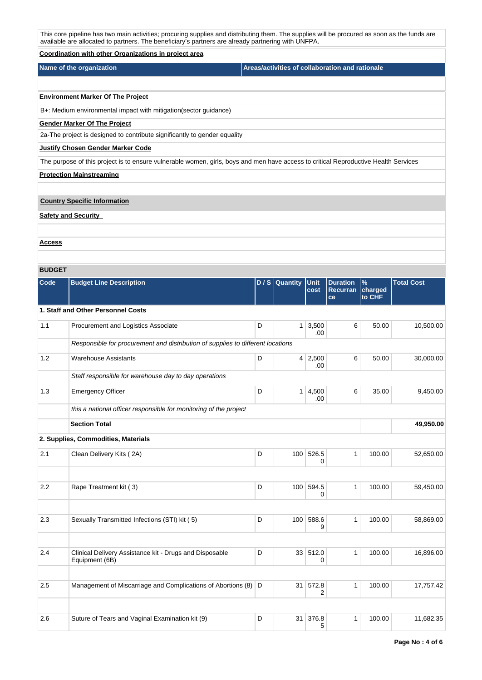|               | This core pipeline has two main activities; procuring supplies and distributing them. The supplies will be procured as soon as the funds are<br>available are allocated to partners. The beneficiary's partners are already partnering with UNFPA. |         |          |              |                                                 |               |                   |  |  |
|---------------|----------------------------------------------------------------------------------------------------------------------------------------------------------------------------------------------------------------------------------------------------|---------|----------|--------------|-------------------------------------------------|---------------|-------------------|--|--|
|               | Coordination with other Organizations in project area                                                                                                                                                                                              |         |          |              |                                                 |               |                   |  |  |
|               | Name of the organization                                                                                                                                                                                                                           |         |          |              | Areas/activities of collaboration and rationale |               |                   |  |  |
|               |                                                                                                                                                                                                                                                    |         |          |              |                                                 |               |                   |  |  |
|               | <b>Environment Marker Of The Project</b>                                                                                                                                                                                                           |         |          |              |                                                 |               |                   |  |  |
|               | B+: Medium environmental impact with mitigation(sector guidance)                                                                                                                                                                                   |         |          |              |                                                 |               |                   |  |  |
|               | <b>Gender Marker Of The Project</b>                                                                                                                                                                                                                |         |          |              |                                                 |               |                   |  |  |
|               | 2a-The project is designed to contribute significantly to gender equality                                                                                                                                                                          |         |          |              |                                                 |               |                   |  |  |
|               | <b>Justify Chosen Gender Marker Code</b>                                                                                                                                                                                                           |         |          |              |                                                 |               |                   |  |  |
|               | The purpose of this project is to ensure vulnerable women, girls, boys and men have access to critical Reproductive Health Services                                                                                                                |         |          |              |                                                 |               |                   |  |  |
|               | <b>Protection Mainstreaming</b>                                                                                                                                                                                                                    |         |          |              |                                                 |               |                   |  |  |
|               |                                                                                                                                                                                                                                                    |         |          |              |                                                 |               |                   |  |  |
|               | <b>Country Specific Information</b>                                                                                                                                                                                                                |         |          |              |                                                 |               |                   |  |  |
|               | <b>Safety and Security</b>                                                                                                                                                                                                                         |         |          |              |                                                 |               |                   |  |  |
|               |                                                                                                                                                                                                                                                    |         |          |              |                                                 |               |                   |  |  |
| <b>Access</b> |                                                                                                                                                                                                                                                    |         |          |              |                                                 |               |                   |  |  |
|               |                                                                                                                                                                                                                                                    |         |          |              |                                                 |               |                   |  |  |
| <b>BUDGET</b> |                                                                                                                                                                                                                                                    |         |          |              |                                                 |               |                   |  |  |
| Code          | <b>Budget Line Description</b>                                                                                                                                                                                                                     | $DI$ si | Quantity | <b>Unit</b>  | <b>Duration</b>                                 | $\frac{9}{6}$ | <b>Total Cost</b> |  |  |
|               |                                                                                                                                                                                                                                                    |         |          | cost         | Recurran charged<br><b>ce</b>                   | to CHF        |                   |  |  |
|               | 1. Staff and Other Personnel Costs                                                                                                                                                                                                                 |         |          |              |                                                 |               |                   |  |  |
| 1.1           | Procurement and Logistics Associate                                                                                                                                                                                                                | D       | 1        | 3,500<br>.00 | 6                                               | 50.00         | 10,500.00         |  |  |

| 1.1 | Procurement and Logistics Associate                                             | D |                | $1 \mid 3,500$<br>.00 | 6            | 50.00  | 10,500.00 |
|-----|---------------------------------------------------------------------------------|---|----------------|-----------------------|--------------|--------|-----------|
|     | Responsible for procurement and distribution of supplies to different locations |   |                |                       |              |        |           |
| 1.2 | <b>Warehouse Assistants</b>                                                     | D |                | $4 \mid 2,500$<br>.00 | 6            | 50.00  | 30,000.00 |
|     | Staff responsible for warehouse day to day operations                           |   |                |                       |              |        |           |
| 1.3 | <b>Emergency Officer</b>                                                        | D | 1 <sup>1</sup> | 4,500<br>.00          | 6            | 35.00  | 9,450.00  |
|     | this a national officer responsible for monitoring of the project               |   |                |                       |              |        |           |
|     | <b>Section Total</b>                                                            |   |                |                       |              |        | 49,950.00 |
|     | 2. Supplies, Commodities, Materials                                             |   |                |                       |              |        |           |
| 2.1 | Clean Delivery Kits (2A)                                                        | D |                | 100 526.5<br>0        | $\mathbf{1}$ | 100.00 | 52,650.00 |
|     |                                                                                 |   |                |                       |              |        |           |
| 2.2 | Rape Treatment kit (3)                                                          | D |                | 100 594.5<br>0        | $\mathbf{1}$ | 100.00 | 59,450.00 |
|     |                                                                                 |   |                |                       |              |        |           |
| 2.3 | Sexually Transmitted Infections (STI) kit (5)                                   | D |                | 100 588.6<br>9        | $\mathbf{1}$ | 100.00 | 58,869.00 |
|     |                                                                                 |   |                |                       |              |        |           |
| 2.4 | Clinical Delivery Assistance kit - Drugs and Disposable<br>Equipment (6B)       | D |                | 33 512.0<br>0         | $\mathbf{1}$ | 100.00 | 16,896.00 |
|     |                                                                                 |   |                |                       |              |        |           |
| 2.5 | Management of Miscarriage and Complications of Abortions (8) D                  |   | 31             | 572.8<br>2            | $\mathbf{1}$ | 100.00 | 17,757.42 |
|     |                                                                                 |   |                |                       |              |        |           |
| 2.6 | Suture of Tears and Vaginal Examination kit (9)                                 | D | 31             | 376.8<br>5            | 1            | 100.00 | 11,682.35 |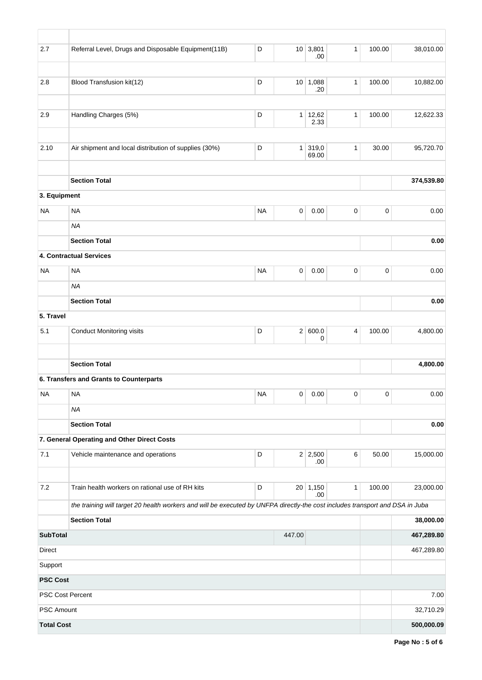| 2.7               | Referral Level, Drugs and Disposable Equipment(11B)                                                                           | D         |                | 10 3,801<br>.00         | $\mathbf{1}$ | 100.00      | 38,010.00  |
|-------------------|-------------------------------------------------------------------------------------------------------------------------------|-----------|----------------|-------------------------|--------------|-------------|------------|
|                   |                                                                                                                               |           |                |                         |              |             |            |
| 2.8               | Blood Transfusion kit(12)                                                                                                     | D         | 10             | 1,088<br>.20            | $\mathbf{1}$ | 100.00      | 10,882.00  |
| 2.9               | Handling Charges (5%)                                                                                                         | D         |                | $1 \mid 12,62$<br>2.33  | $\mathbf{1}$ | 100.00      | 12,622.33  |
| 2.10              | Air shipment and local distribution of supplies (30%)                                                                         | D         | 1 <sup>1</sup> | 319,0<br>69.00          | 1            | 30.00       | 95,720.70  |
|                   | <b>Section Total</b>                                                                                                          |           |                |                         |              |             | 374,539.80 |
| 3. Equipment      |                                                                                                                               |           |                |                         |              |             |            |
| NA                | <b>NA</b>                                                                                                                     | <b>NA</b> | 0              | 0.00                    | 0            | $\pmb{0}$   | 0.00       |
|                   | <b>NA</b>                                                                                                                     |           |                |                         |              |             |            |
|                   | <b>Section Total</b>                                                                                                          |           |                |                         |              |             | 0.00       |
|                   | 4. Contractual Services                                                                                                       |           |                |                         |              |             |            |
| NA                | <b>NA</b>                                                                                                                     | <b>NA</b> | 0              | 0.00                    | 0            | $\mathbf 0$ | 0.00       |
|                   | <b>NA</b>                                                                                                                     |           |                |                         |              |             |            |
|                   | <b>Section Total</b>                                                                                                          |           |                |                         |              |             | 0.00       |
| 5. Travel         |                                                                                                                               |           |                |                         |              |             |            |
| 5.1               | <b>Conduct Monitoring visits</b>                                                                                              | D         |                | 2   600.0<br>0          | 4            | 100.00      | 4,800.00   |
|                   |                                                                                                                               |           |                |                         |              |             |            |
|                   | <b>Section Total</b>                                                                                                          |           |                |                         |              |             | 4,800.00   |
|                   | 6. Transfers and Grants to Counterparts                                                                                       |           |                |                         |              |             |            |
| <b>NA</b>         | <b>NA</b>                                                                                                                     | <b>NA</b> |                | $0 \mid 0.00$           | $\mathbf 0$  | $\mathbf 0$ | 0.00       |
|                   | <b>NA</b>                                                                                                                     |           |                |                         |              |             |            |
|                   | <b>Section Total</b>                                                                                                          |           |                |                         |              |             | 0.00       |
|                   | 7. General Operating and Other Direct Costs                                                                                   |           |                |                         |              |             |            |
| 7.1               | Vehicle maintenance and operations                                                                                            | D         |                | 2 2,500<br>.00.         | 6            | 50.00       | 15,000.00  |
| $7.2\,$           | Train health workers on rational use of RH kits                                                                               | D         |                | $20 \mid 1,150$<br>.00. | $\mathbf{1}$ | 100.00      | 23,000.00  |
|                   | the training will target 20 health workers and will be executed by UNFPA directly-the cost includes transport and DSA in Juba |           |                |                         |              |             |            |
|                   | <b>Section Total</b>                                                                                                          |           |                |                         |              |             | 38,000.00  |
| <b>SubTotal</b>   |                                                                                                                               |           | 447.00         |                         |              |             | 467,289.80 |
| <b>Direct</b>     |                                                                                                                               |           |                |                         |              |             | 467,289.80 |
| Support           |                                                                                                                               |           |                |                         |              |             |            |
| <b>PSC Cost</b>   |                                                                                                                               |           |                |                         |              |             |            |
| PSC Cost Percent  |                                                                                                                               |           |                |                         |              |             | 7.00       |
| PSC Amount        |                                                                                                                               |           |                |                         |              |             | 32,710.29  |
| <b>Total Cost</b> |                                                                                                                               |           |                |                         |              |             | 500,000.09 |